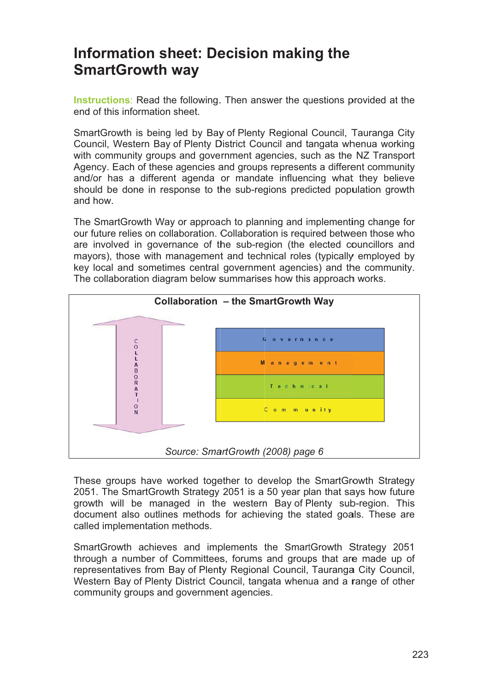## **Information sheet: Decision making the SmartGrowth way**

Instructions: Read the following. Then answer the questions provided at the end of this information sheet.

SmartGrowth is being led by Bay of Plenty Regional Council, Tauranga City Council, Western Bay of Plenty District Council and tangata whenua working with community groups and government agencies, such as the NZ Transport Agency. Each of these agencies and groups represents a different community and/or has a different agenda or mandate influencing what they believe should be done in response to the sub-regions predicted population growth and how.

The SmartGrowth Way or approach to planning and implementing change for our future relies on collaboration. Collaboration is required between those who are involved in governance of the sub-region (the elected councillors and mayors), those with management and technical roles (typically employed by key local and sometimes central government agencies) and the community. The collaboration diagram below summarises how this approach works.



These groups have worked together to develop the SmartGrowth Strategy 2051. The SmartGrowth Strategy 2051 is a 50 year plan that says how future growth will be managed in the western Bay of Plenty sub-region. This document also outlines methods for achieving the stated goals. These are called implementation methods.

SmartGrowth achieves and implements the SmartGrowth Strategy 2051 through a number of Committees, forums and groups that are made up of representatives from Bay of Plenty Regional Council, Tauranga City Council, Western Bay of Plenty District Council, tangata whenua and a range of other community groups and government agencies.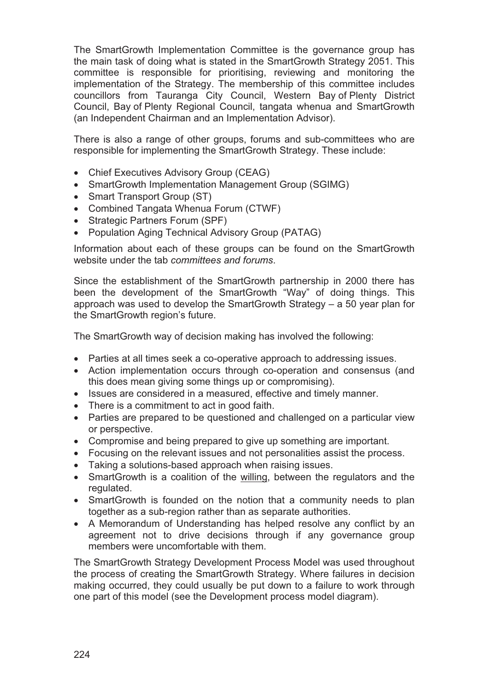The SmartGrowth Implementation Committee is the governance group has the main task of doing what is stated in the SmartGrowth Strategy 2051. This committee is responsible for prioritising, reviewing and monitoring the implementation of the Strategy. The membership of this committee includes councillors from Tauranga City Council, Western Bay of Plenty District Council, Bay of Plenty Regional Council, tangata whenua and SmartGrowth (an Independent Chairman and an Implementation Advisor).

There is also a range of other groups, forums and sub-committees who are responsible for implementing the SmartGrowth Strategy. These include:

- Chief Executives Advisory Group (CEAG)
- SmartGrowth Implementation Management Group (SGIMG)
- Smart Transport Group (ST)
- Combined Tangata Whenua Forum (CTWF)
- Strategic Partners Forum (SPF)
- Population Aging Technical Advisory Group (PATAG)

Information about each of these groups can be found on the SmartGrowth website under the tab *committees and forums*.

Since the establishment of the SmartGrowth partnership in 2000 there has been the development of the SmartGrowth "Way" of doing things. This approach was used to develop the SmartGrowth Strategy – a 50 year plan for the SmartGrowth region's future.

The SmartGrowth way of decision making has involved the following:

- Parties at all times seek a co-operative approach to addressing issues.
- Action implementation occurs through co-operation and consensus (and this does mean giving some things up or compromising).
- Issues are considered in a measured, effective and timely manner.
- There is a commitment to act in good faith.
- Parties are prepared to be questioned and challenged on a particular view or perspective.
- Compromise and being prepared to give up something are important.
- Focusing on the relevant issues and not personalities assist the process.
- Taking a solutions-based approach when raising issues.
- SmartGrowth is a coalition of the willing, between the regulators and the regulated.
- SmartGrowth is founded on the notion that a community needs to plan together as a sub-region rather than as separate authorities.
- A Memorandum of Understanding has helped resolve any conflict by an agreement not to drive decisions through if any governance group members were uncomfortable with them.

The SmartGrowth Strategy Development Process Model was used throughout the process of creating the SmartGrowth Strategy. Where failures in decision making occurred, they could usually be put down to a failure to work through one part of this model (see the Development process model diagram).